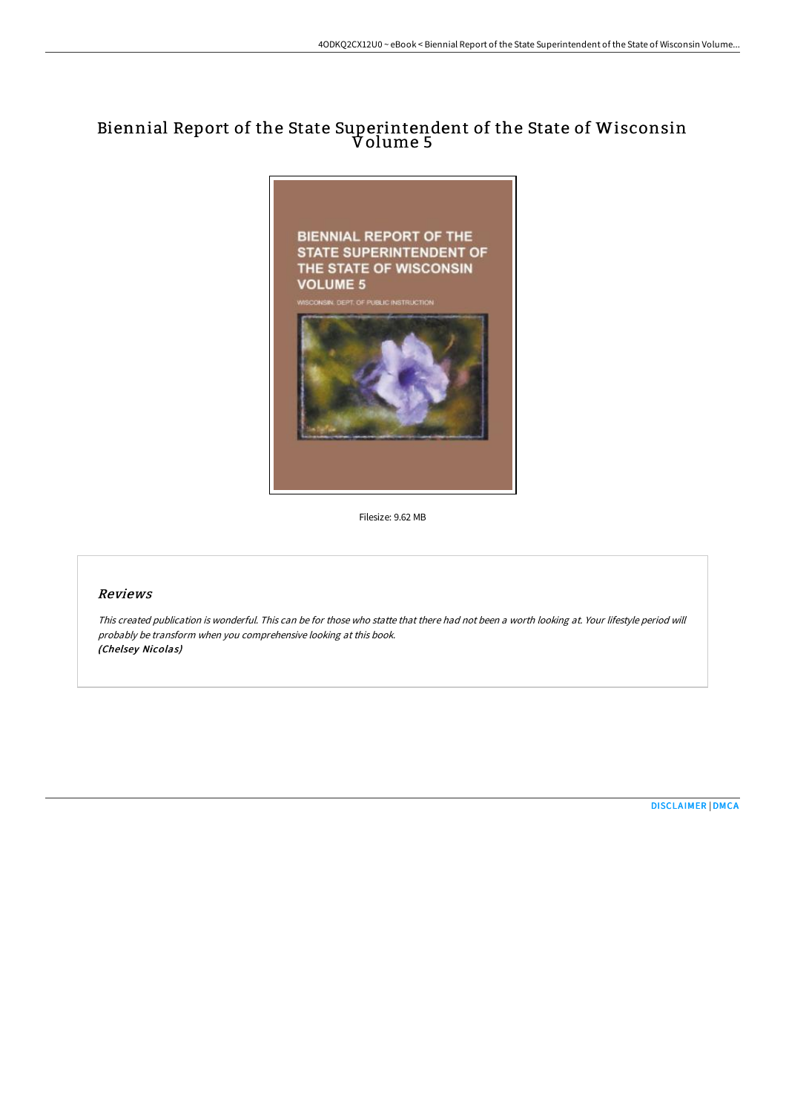## Biennial Report of the State Superintendent of the State of Wisconsin Volume 5



Filesize: 9.62 MB

## Reviews

This created publication is wonderful. This can be for those who statte that there had not been <sup>a</sup> worth looking at. Your lifestyle period will probably be transform when you comprehensive looking at this book. (Chelsey Nicolas)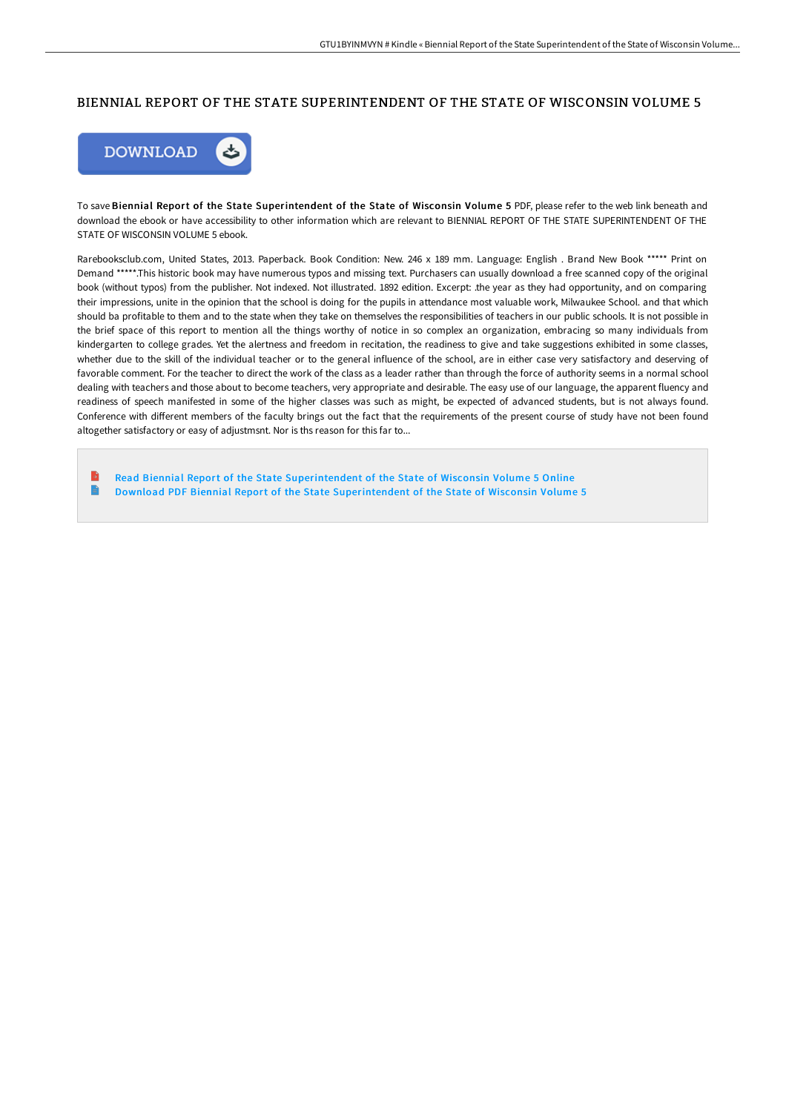## BIENNIAL REPORT OF THE STATE SUPERINTENDENT OF THE STATE OF WISCONSIN VOLUME 5



To save Biennial Report of the State Superintendent of the State of Wisconsin Volume 5 PDF, please refer to the web link beneath and download the ebook or have accessibility to other information which are relevant to BIENNIAL REPORT OF THE STATE SUPERINTENDENT OF THE STATE OF WISCONSIN VOLUME 5 ebook.

Rarebooksclub.com, United States, 2013. Paperback. Book Condition: New. 246 x 189 mm. Language: English . Brand New Book \*\*\*\*\* Print on Demand \*\*\*\*\*.This historic book may have numerous typos and missing text. Purchasers can usually download a free scanned copy of the original book (without typos) from the publisher. Not indexed. Not illustrated. 1892 edition. Excerpt: .the year as they had opportunity, and on comparing their impressions, unite in the opinion that the school is doing for the pupils in attendance most valuable work, Milwaukee School. and that which should ba profitable to them and to the state when they take on themselves the responsibilities of teachers in our public schools. It is not possible in the brief space of this report to mention all the things worthy of notice in so complex an organization, embracing so many individuals from kindergarten to college grades. Yet the alertness and freedom in recitation, the readiness to give and take suggestions exhibited in some classes, whether due to the skill of the individual teacher or to the general influence of the school, are in either case very satisfactory and deserving of favorable comment. For the teacher to direct the work of the class as a leader rather than through the force of authority seems in a normal school dealing with teachers and those about to become teachers, very appropriate and desirable. The easy use of our language, the apparent fluency and readiness of speech manifested in some of the higher classes was such as might, be expected of advanced students, but is not always found. Conference with diFerent members of the faculty brings out the fact that the requirements of the present course of study have not been found altogether satisfactory or easy of adjustmsnt. Nor is ths reason for this far to...

Read Biennial Report of the State [Superintendent](http://techno-pub.tech/biennial-report-of-the-state-superintendent-of-t-1.html) of the State of Wisconsin Volume 5 Online  $\Rightarrow$ Download PDF Biennial Report of the State [Superintendent](http://techno-pub.tech/biennial-report-of-the-state-superintendent-of-t-1.html) of the State of Wisconsin Volume 5